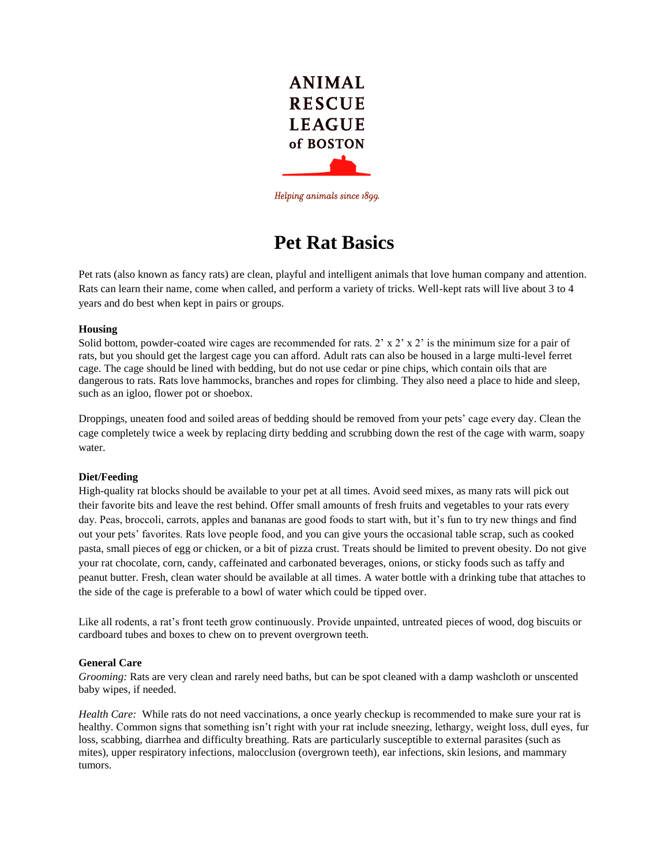

Helping animals since 1899.

# **Pet Rat Basics**

Pet rats (also known as fancy rats) are clean, playful and intelligent animals that love human company and attention. Rats can learn their name, come when called, and perform a variety of tricks. Well-kept rats will live about 3 to 4 years and do best when kept in pairs or groups.

#### **Housing**

Solid bottom, powder-coated wire cages are recommended for rats.  $2 \times x \times 2 \times x$  is the minimum size for a pair of rats, but you should get the largest cage you can afford. Adult rats can also be housed in a large multi-level ferret cage. The cage should be lined with bedding, but do not use cedar or pine chips, which contain oils that are dangerous to rats. Rats love hammocks, branches and ropes for climbing. They also need a place to hide and sleep, such as an igloo, flower pot or shoebox.

Droppings, uneaten food and soiled areas of bedding should be removed from your pets' cage every day. Clean the cage completely twice a week by replacing dirty bedding and scrubbing down the rest of the cage with warm, soapy water.

### **Diet/Feeding**

High-quality rat blocks should be available to your pet at all times. Avoid seed mixes, as many rats will pick out their favorite bits and leave the rest behind. Offer small amounts of fresh fruits and vegetables to your rats every day. Peas, broccoli, carrots, apples and bananas are good foods to start with, but it's fun to try new things and find out your pets' favorites. Rats love people food, and you can give yours the occasional table scrap, such as cooked pasta, small pieces of egg or chicken, or a bit of pizza crust. Treats should be limited to prevent obesity. Do not give your rat chocolate, corn, candy, caffeinated and carbonated beverages, onions, or sticky foods such as taffy and peanut butter. Fresh, clean water should be available at all times. A water bottle with a drinking tube that attaches to the side of the cage is preferable to a bowl of water which could be tipped over.

Like all rodents, a rat's front teeth grow continuously. Provide unpainted, untreated pieces of wood, dog biscuits or cardboard tubes and boxes to chew on to prevent overgrown teeth.

#### **General Care**

*Grooming:* Rats are very clean and rarely need baths, but can be spot cleaned with a damp washcloth or unscented baby wipes, if needed.

*Health Care:* While rats do not need vaccinations, a once yearly checkup is recommended to make sure your rat is healthy. Common signs that something isn't right with your rat include sneezing, lethargy, weight loss, dull eyes, fur loss, scabbing, diarrhea and difficulty breathing. Rats are particularly susceptible to external parasites (such as mites), upper respiratory infections, malocclusion (overgrown teeth), ear infections, skin lesions, and mammary tumors.